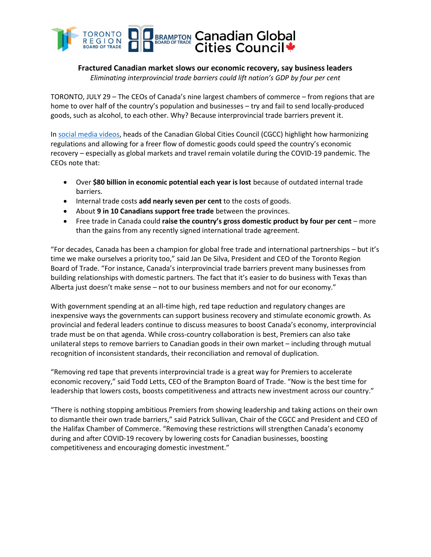

# **Fractured Canadian market slows our economic recovery, say business leaders**

*Eliminating interprovincial trade barriers could lift nation's GDP by four per cent*

TORONTO, JULY 29 – The CEOs of Canada's nine largest chambers of commerce – from regions that are home to over half of the country's population and businesses – try and fail to send locally-produced goods, such as alcohol, to each other. Why? Because interprovincial trade barriers prevent it.

In [social media videos,](https://twitter.com/prezhfxchamber/status/1287863563898490881) heads of the Canadian Global Cities Council (CGCC) highlight how harmonizing regulations and allowing for a freer flow of domestic goods could speed the country's economic recovery – especially as global markets and travel remain volatile during the COVID-19 pandemic. The CEOs note that:

- Over **\$80 billion in economic potential each year is lost** because of outdated internal trade barriers.
- Internal trade costs **add nearly seven per cent** to the costs of goods.
- About **9 in 10 Canadians support free trade** between the provinces.
- Free trade in Canada could **raise the country's gross domestic product by four per cent** more than the gains from any recently signed international trade agreement.

"For decades, Canada has been a champion for global free trade and international partnerships – but it's time we make ourselves a priority too," said Jan De Silva, President and CEO of the Toronto Region Board of Trade. "For instance, Canada's interprovincial trade barriers prevent many businesses from building relationships with domestic partners. The fact that it's easier to do business with Texas than Alberta just doesn't make sense – not to our business members and not for our economy."

With government spending at an all-time high, red tape reduction and regulatory changes are inexpensive ways the governments can support business recovery and stimulate economic growth. As provincial and federal leaders continue to discuss measures to boost Canada's economy, interprovincial trade must be on that agenda. While cross-country collaboration is best, Premiers can also take unilateral steps to remove barriers to Canadian goods in their own market – including through mutual recognition of inconsistent standards, their reconciliation and removal of duplication.

"Removing red tape that prevents interprovincial trade is a great way for Premiers to accelerate economic recovery," said Todd Letts, CEO of the Brampton Board of Trade. "Now is the best time for leadership that lowers costs, boosts competitiveness and attracts new investment across our country."

"There is nothing stopping ambitious Premiers from showing leadership and taking actions on their own to dismantle their own trade barriers," said Patrick Sullivan, Chair of the CGCC and President and CEO of the Halifax Chamber of Commerce. "Removing these restrictions will strengthen Canada's economy during and after COVID-19 recovery by lowering costs for Canadian businesses, boosting competitiveness and encouraging domestic investment."